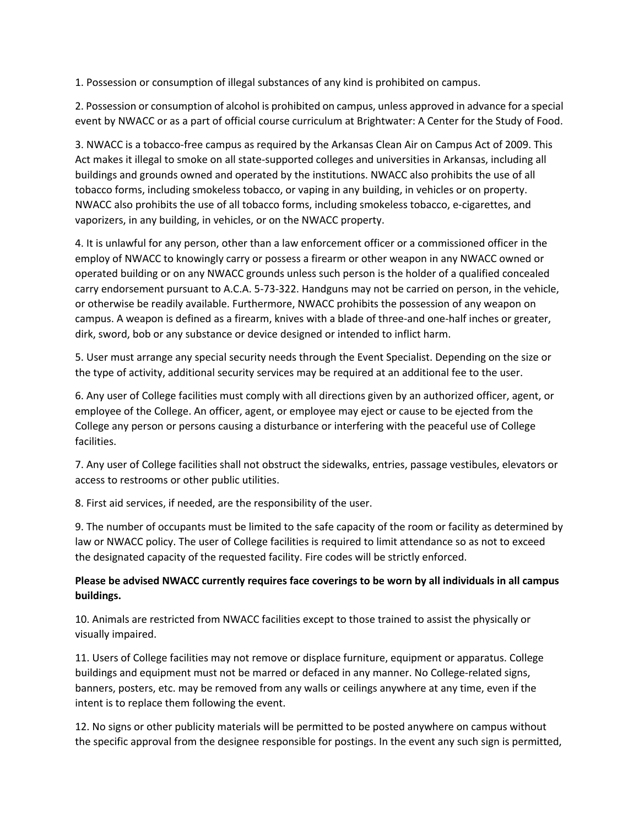1. Possession or consumption of illegal substances of any kind is prohibited on campus.

2. Possession or consumption of alcohol is prohibited on campus, unless approved in advance for a special event by NWACC or as a part of official course curriculum at Brightwater: A Center for the Study of Food.

3. NWACC is a tobacco-free campus as required by the Arkansas Clean Air on Campus Act of 2009. This Act makes it illegal to smoke on all state-supported colleges and universities in Arkansas, including all buildings and grounds owned and operated by the institutions. NWACC also prohibits the use of all tobacco forms, including smokeless tobacco, or vaping in any building, in vehicles or on property. NWACC also prohibits the use of all tobacco forms, including smokeless tobacco, e-cigarettes, and vaporizers, in any building, in vehicles, or on the NWACC property.

4. It is unlawful for any person, other than a law enforcement officer or a commissioned officer in the employ of NWACC to knowingly carry or possess a firearm or other weapon in any NWACC owned or operated building or on any NWACC grounds unless such person is the holder of a qualified concealed carry endorsement pursuant to A.C.A. 5-73-322. Handguns may not be carried on person, in the vehicle, or otherwise be readily available. Furthermore, NWACC prohibits the possession of any weapon on campus. A weapon is defined as a firearm, knives with a blade of three-and one-half inches or greater, dirk, sword, bob or any substance or device designed or intended to inflict harm.

5. User must arrange any special security needs through the Event Specialist. Depending on the size or the type of activity, additional security services may be required at an additional fee to the user.

6. Any user of College facilities must comply with all directions given by an authorized officer, agent, or employee of the College. An officer, agent, or employee may eject or cause to be ejected from the College any person or persons causing a disturbance or interfering with the peaceful use of College facilities.

7. Any user of College facilities shall not obstruct the sidewalks, entries, passage vestibules, elevators or access to restrooms or other public utilities.

8. First aid services, if needed, are the responsibility of the user.

9. The number of occupants must be limited to the safe capacity of the room or facility as determined by law or NWACC policy. The user of College facilities is required to limit attendance so as not to exceed the designated capacity of the requested facility. Fire codes will be strictly enforced.

## **Please be advised NWACC currently requires face coverings to be worn by all individuals in all campus buildings.**

10. Animals are restricted from NWACC facilities except to those trained to assist the physically or visually impaired.

11. Users of College facilities may not remove or displace furniture, equipment or apparatus. College buildings and equipment must not be marred or defaced in any manner. No College-related signs, banners, posters, etc. may be removed from any walls or ceilings anywhere at any time, even if the intent is to replace them following the event.

12. No signs or other publicity materials will be permitted to be posted anywhere on campus without the specific approval from the designee responsible for postings. In the event any such sign is permitted,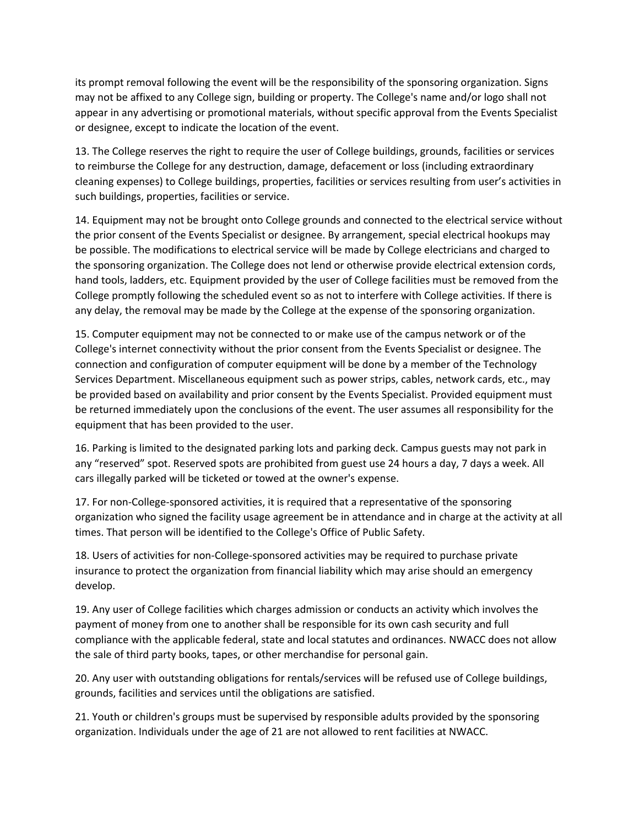its prompt removal following the event will be the responsibility of the sponsoring organization. Signs may not be affixed to any College sign, building or property. The College's name and/or logo shall not appear in any advertising or promotional materials, without specific approval from the Events Specialist or designee, except to indicate the location of the event.

13. The College reserves the right to require the user of College buildings, grounds, facilities or services to reimburse the College for any destruction, damage, defacement or loss (including extraordinary cleaning expenses) to College buildings, properties, facilities or services resulting from user's activities in such buildings, properties, facilities or service.

14. Equipment may not be brought onto College grounds and connected to the electrical service without the prior consent of the Events Specialist or designee. By arrangement, special electrical hookups may be possible. The modifications to electrical service will be made by College electricians and charged to the sponsoring organization. The College does not lend or otherwise provide electrical extension cords, hand tools, ladders, etc. Equipment provided by the user of College facilities must be removed from the College promptly following the scheduled event so as not to interfere with College activities. If there is any delay, the removal may be made by the College at the expense of the sponsoring organization.

15. Computer equipment may not be connected to or make use of the campus network or of the College's internet connectivity without the prior consent from the Events Specialist or designee. The connection and configuration of computer equipment will be done by a member of the Technology Services Department. Miscellaneous equipment such as power strips, cables, network cards, etc., may be provided based on availability and prior consent by the Events Specialist. Provided equipment must be returned immediately upon the conclusions of the event. The user assumes all responsibility for the equipment that has been provided to the user.

16. Parking is limited to the designated parking lots and parking deck. Campus guests may not park in any "reserved" spot. Reserved spots are prohibited from guest use 24 hours a day, 7 days a week. All cars illegally parked will be ticketed or towed at the owner's expense.

17. For non-College-sponsored activities, it is required that a representative of the sponsoring organization who signed the facility usage agreement be in attendance and in charge at the activity at all times. That person will be identified to the College's Office of Public Safety.

18. Users of activities for non-College-sponsored activities may be required to purchase private insurance to protect the organization from financial liability which may arise should an emergency develop.

19. Any user of College facilities which charges admission or conducts an activity which involves the payment of money from one to another shall be responsible for its own cash security and full compliance with the applicable federal, state and local statutes and ordinances. NWACC does not allow the sale of third party books, tapes, or other merchandise for personal gain.

20. Any user with outstanding obligations for rentals/services will be refused use of College buildings, grounds, facilities and services until the obligations are satisfied.

21. Youth or children's groups must be supervised by responsible adults provided by the sponsoring organization. Individuals under the age of 21 are not allowed to rent facilities at NWACC.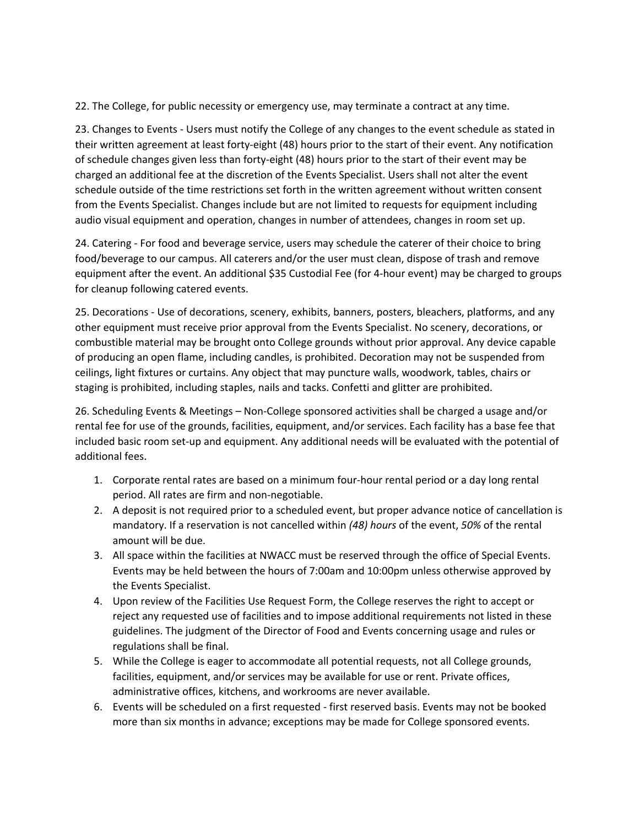22. The College, for public necessity or emergency use, may terminate a contract at any time.

23. Changes to Events - Users must notify the College of any changes to the event schedule as stated in their written agreement at least forty-eight (48) hours prior to the start of their event. Any notification of schedule changes given less than forty-eight (48) hours prior to the start of their event may be charged an additional fee at the discretion of the Events Specialist. Users shall not alter the event schedule outside of the time restrictions set forth in the written agreement without written consent from the Events Specialist. Changes include but are not limited to requests for equipment including audio visual equipment and operation, changes in number of attendees, changes in room set up.

24. Catering - For food and beverage service, users may schedule the caterer of their choice to bring food/beverage to our campus. All caterers and/or the user must clean, dispose of trash and remove equipment after the event. An additional \$35 Custodial Fee (for 4-hour event) may be charged to groups for cleanup following catered events.

25. Decorations - Use of decorations, scenery, exhibits, banners, posters, bleachers, platforms, and any other equipment must receive prior approval from the Events Specialist. No scenery, decorations, or combustible material may be brought onto College grounds without prior approval. Any device capable of producing an open flame, including candles, is prohibited. Decoration may not be suspended from ceilings, light fixtures or curtains. Any object that may puncture walls, woodwork, tables, chairs or staging is prohibited, including staples, nails and tacks. Confetti and glitter are prohibited.

26. Scheduling Events & Meetings – Non-College sponsored activities shall be charged a usage and/or rental fee for use of the grounds, facilities, equipment, and/or services. Each facility has a base fee that included basic room set-up and equipment. Any additional needs will be evaluated with the potential of additional fees.

- 1. Corporate rental rates are based on a minimum four-hour rental period or a day long rental period. All rates are firm and non-negotiable.
- 2. A deposit is not required prior to a scheduled event, but proper advance notice of cancellation is mandatory. If a reservation is not cancelled within *(48) hours* of the event, *50%* of the rental amount will be due.
- 3. All space within the facilities at NWACC must be reserved through the office of Special Events. Events may be held between the hours of 7:00am and 10:00pm unless otherwise approved by the Events Specialist.
- 4. Upon review of the Facilities Use Request Form, the College reserves the right to accept or reject any requested use of facilities and to impose additional requirements not listed in these guidelines. The judgment of the Director of Food and Events concerning usage and rules or regulations shall be final.
- 5. While the College is eager to accommodate all potential requests, not all College grounds, facilities, equipment, and/or services may be available for use or rent. Private offices, administrative offices, kitchens, and workrooms are never available.
- 6. Events will be scheduled on a first requested first reserved basis. Events may not be booked more than six months in advance; exceptions may be made for College sponsored events.